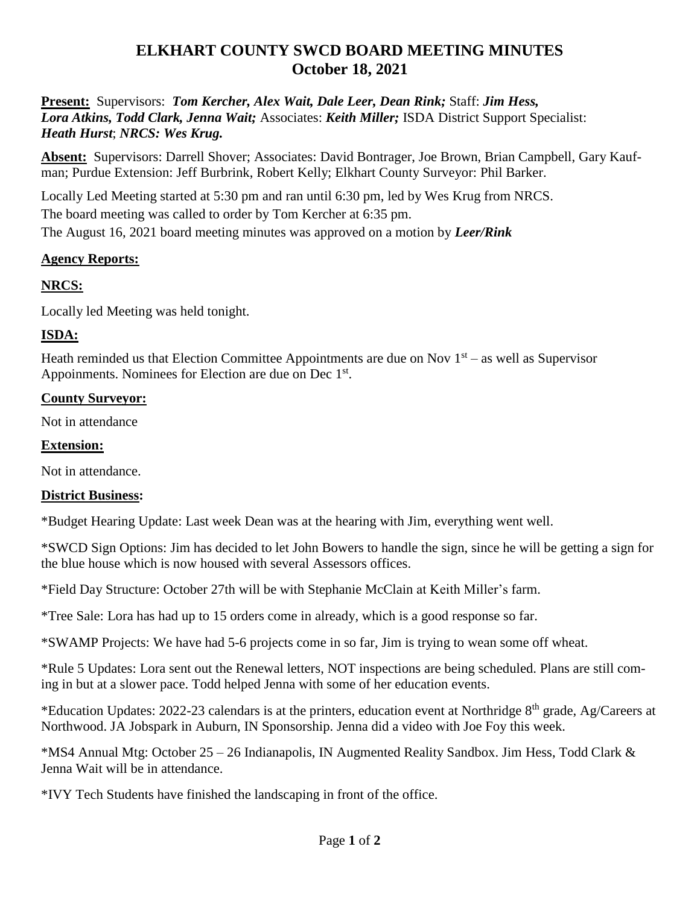# **ELKHART COUNTY SWCD BOARD MEETING MINUTES October 18, 2021**

**Present:** Supervisors: *Tom Kercher, Alex Wait, Dale Leer, Dean Rink;* Staff: *Jim Hess, Lora Atkins, Todd Clark, Jenna Wait;* Associates: *Keith Miller;* ISDA District Support Specialist: *Heath Hurst*; *NRCS: Wes Krug.*

**Absent:** Supervisors: Darrell Shover; Associates: David Bontrager, Joe Brown, Brian Campbell, Gary Kaufman; Purdue Extension: Jeff Burbrink, Robert Kelly; Elkhart County Surveyor: Phil Barker.

Locally Led Meeting started at 5:30 pm and ran until 6:30 pm, led by Wes Krug from NRCS. The board meeting was called to order by Tom Kercher at 6:35 pm. The August 16, 2021 board meeting minutes was approved on a motion by *Leer/Rink*

### **Agency Reports:**

## **NRCS:**

Locally led Meeting was held tonight.

## **ISDA:**

Heath reminded us that Election Committee Appointments are due on Nov  $1<sup>st</sup> -$  as well as Supervisor Appoinments. Nominees for Election are due on Dec 1<sup>st</sup>.

### **County Surveyor:**

Not in attendance

#### **Extension:**

Not in attendance.

## **District Business:**

\*Budget Hearing Update: Last week Dean was at the hearing with Jim, everything went well.

\*SWCD Sign Options: Jim has decided to let John Bowers to handle the sign, since he will be getting a sign for the blue house which is now housed with several Assessors offices.

\*Field Day Structure: October 27th will be with Stephanie McClain at Keith Miller's farm.

\*Tree Sale: Lora has had up to 15 orders come in already, which is a good response so far.

\*SWAMP Projects: We have had 5-6 projects come in so far, Jim is trying to wean some off wheat.

\*Rule 5 Updates: Lora sent out the Renewal letters, NOT inspections are being scheduled. Plans are still coming in but at a slower pace. Todd helped Jenna with some of her education events.

\*Education Updates: 2022-23 calendars is at the printers, education event at Northridge 8<sup>th</sup> grade, Ag/Careers at Northwood. JA Jobspark in Auburn, IN Sponsorship. Jenna did a video with Joe Foy this week.

\*MS4 Annual Mtg: October 25 – 26 Indianapolis, IN Augmented Reality Sandbox. Jim Hess, Todd Clark & Jenna Wait will be in attendance.

\*IVY Tech Students have finished the landscaping in front of the office.